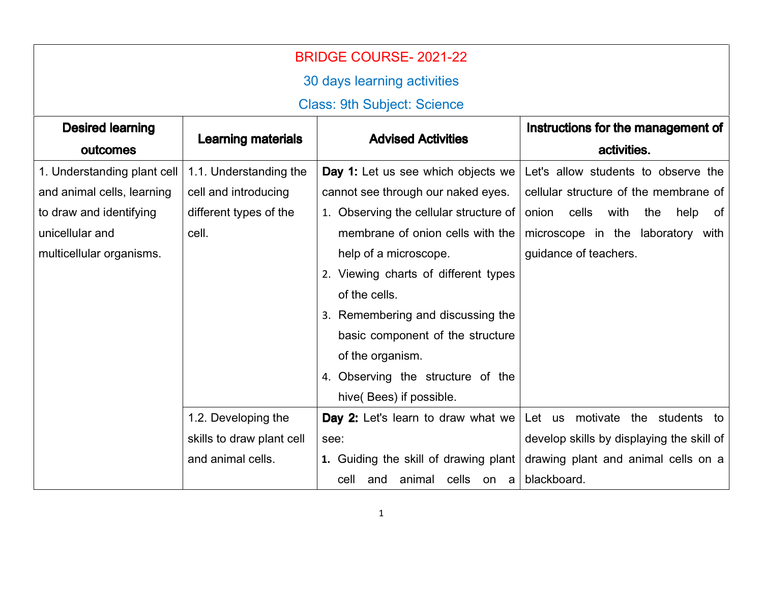| <b>BRIDGE COURSE-2021-22</b>       |                           |                                        |                                                                           |
|------------------------------------|---------------------------|----------------------------------------|---------------------------------------------------------------------------|
| 30 days learning activities        |                           |                                        |                                                                           |
| <b>Class: 9th Subject: Science</b> |                           |                                        |                                                                           |
| <b>Desired learning</b>            | <b>Advised Activities</b> |                                        | Instructions for the management of                                        |
| outcomes                           | <b>Learning materials</b> |                                        | activities.                                                               |
| 1. Understanding plant cell        | 1.1. Understanding the    | Day 1: Let us see which objects we     | Let's allow students to observe the                                       |
| and animal cells, learning         | cell and introducing      | cannot see through our naked eyes.     | cellular structure of the membrane of                                     |
| to draw and identifying            | different types of the    | 1. Observing the cellular structure of | cells<br>with<br>help<br>the<br>of<br>onion                               |
| unicellular and                    | cell.                     | membrane of onion cells with the       | microscope in the laboratory with                                         |
| multicellular organisms.           |                           | help of a microscope.                  | guidance of teachers.                                                     |
|                                    |                           | 2. Viewing charts of different types   |                                                                           |
|                                    |                           | of the cells.                          |                                                                           |
|                                    |                           | 3. Remembering and discussing the      |                                                                           |
|                                    |                           | basic component of the structure       |                                                                           |
|                                    |                           | of the organism.                       |                                                                           |
|                                    |                           | 4. Observing the structure of the      |                                                                           |
|                                    |                           | hive(Bees) if possible.                |                                                                           |
|                                    | 1.2. Developing the       |                                        | <b>Day 2:</b> Let's learn to draw what we Let us motivate the students to |
|                                    | skills to draw plant cell | see:                                   | develop skills by displaying the skill of                                 |
|                                    | and animal cells.         | 1. Guiding the skill of drawing plant  | drawing plant and animal cells on a                                       |
|                                    |                           | animal cells on a<br>cell<br>and       | blackboard.                                                               |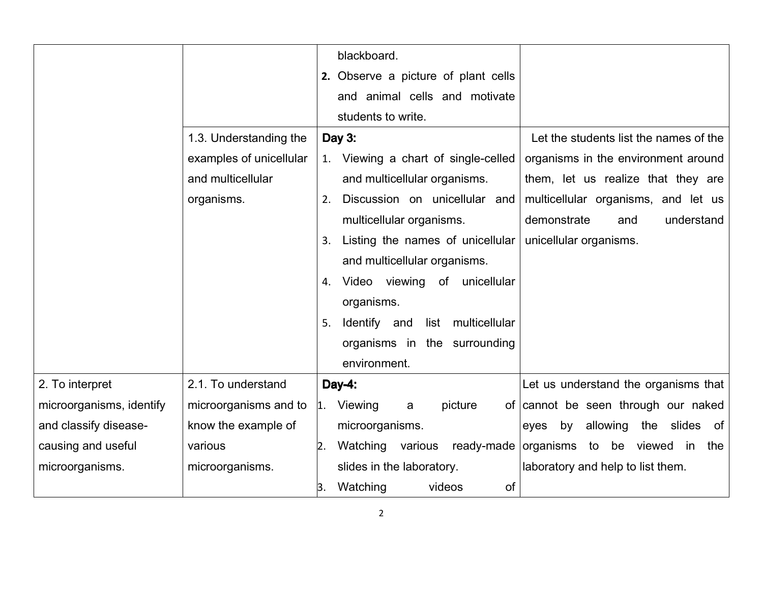|                          |                         | blackboard.                                                                |
|--------------------------|-------------------------|----------------------------------------------------------------------------|
|                          |                         | 2. Observe a picture of plant cells                                        |
|                          |                         | and animal cells and motivate                                              |
|                          |                         | students to write.                                                         |
|                          | 1.3. Understanding the  | Let the students list the names of the<br>Day 3:                           |
|                          | examples of unicellular | organisms in the environment around<br>1. Viewing a chart of single-celled |
|                          | and multicellular       | and multicellular organisms.<br>them, let us realize that they are         |
|                          | organisms.              | Discussion on unicellular and<br>multicellular organisms, and let us<br>2. |
|                          |                         | multicellular organisms.<br>demonstrate<br>understand<br>and               |
|                          |                         | Listing the names of unicellular<br>unicellular organisms.<br>3.           |
|                          |                         | and multicellular organisms.                                               |
|                          |                         | Video viewing of unicellular<br>4.                                         |
|                          |                         | organisms.                                                                 |
|                          |                         | Identify and list multicellular<br>5.                                      |
|                          |                         | organisms in the surrounding                                               |
|                          |                         | environment.                                                               |
| 2. To interpret          | 2.1. To understand      | Let us understand the organisms that<br>Day-4:                             |
| microorganisms, identify | microorganisms and to   | 1. Viewing<br>of cannot be seen through our naked<br>picture<br>a          |
| and classify disease-    | know the example of     | microorganisms.<br>allowing<br>the slides of<br>by<br>eyes                 |
| causing and useful       | various                 | Watching various<br>organisms to be viewed in<br>ready-made<br>the<br>2.   |
| microorganisms.          | microorganisms.         | slides in the laboratory.<br>laboratory and help to list them.             |
|                          |                         | Watching<br>videos<br>of<br>β.                                             |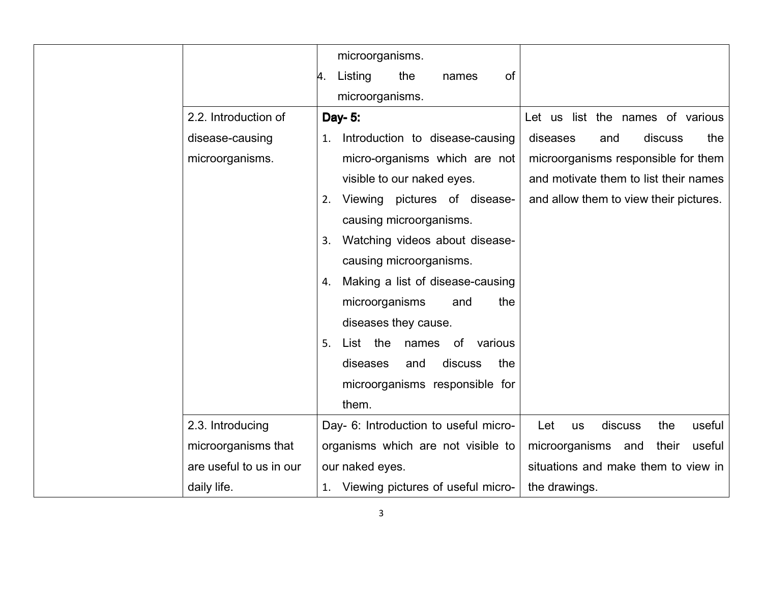|                         | microorganisms.                        |                                              |
|-------------------------|----------------------------------------|----------------------------------------------|
|                         | Listing<br>the<br>of<br>names<br>и.    |                                              |
|                         | microorganisms.                        |                                              |
| 2.2. Introduction of    | Day- 5:                                | Let us list the names of various             |
| disease-causing         | Introduction to disease-causing<br>1.  | discuss<br>diseases<br>and<br>the            |
| microorganisms.         | micro-organisms which are not          | microorganisms responsible for them          |
|                         | visible to our naked eyes.             | and motivate them to list their names        |
|                         | Viewing pictures of disease-<br>2.     | and allow them to view their pictures.       |
|                         | causing microorganisms.                |                                              |
|                         | Watching videos about disease-<br>3.   |                                              |
|                         | causing microorganisms.                |                                              |
|                         | Making a list of disease-causing<br>4. |                                              |
|                         | microorganisms<br>the<br>and           |                                              |
|                         | diseases they cause.                   |                                              |
|                         | List the<br>5.<br>names of various     |                                              |
|                         | discuss<br>the<br>diseases<br>and      |                                              |
|                         | microorganisms responsible for         |                                              |
|                         | them.                                  |                                              |
| 2.3. Introducing        | Day- 6: Introduction to useful micro-  | discuss<br>the<br>useful<br>Let<br><b>us</b> |
| microorganisms that     | organisms which are not visible to     | microorganisms and<br>their<br>useful        |
| are useful to us in our | our naked eyes.                        | situations and make them to view in          |
| daily life.             | 1. Viewing pictures of useful micro-   | the drawings.                                |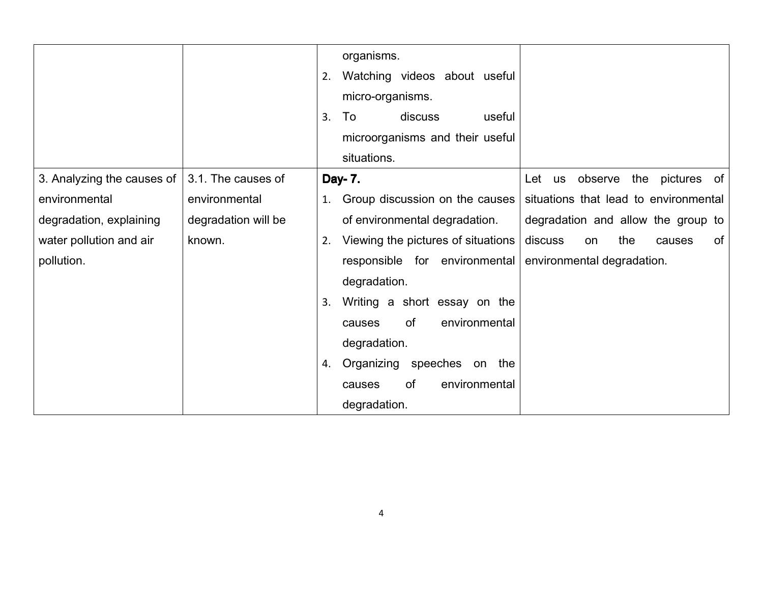|                            |                     | 2.<br>3. | organisms.<br>Watching videos about useful<br>micro-organisms.<br>discuss<br>To<br>useful<br>microorganisms and their useful<br>situations. |                                       |
|----------------------------|---------------------|----------|---------------------------------------------------------------------------------------------------------------------------------------------|---------------------------------------|
| 3. Analyzing the causes of | 3.1. The causes of  |          | Day- 7.                                                                                                                                     | Let us observe<br>the pictures of     |
| environmental              | environmental       | 1.       | Group discussion on the causes                                                                                                              | situations that lead to environmental |
| degradation, explaining    | degradation will be |          | of environmental degradation.                                                                                                               | degradation and allow the group to    |
| water pollution and air    | known.              | 2.       | Viewing the pictures of situations                                                                                                          | discuss<br>the<br>0f<br>on<br>causes  |
| pollution.                 |                     |          | responsible for environmental<br>degradation.                                                                                               | environmental degradation.            |
|                            |                     | 3.       | Writing a short essay on the                                                                                                                |                                       |
|                            |                     |          | of<br>environmental<br>causes                                                                                                               |                                       |
|                            |                     |          | degradation.                                                                                                                                |                                       |
|                            |                     | 4.       | Organizing speeches on the                                                                                                                  |                                       |
|                            |                     |          | <b>of</b><br>environmental<br>causes                                                                                                        |                                       |
|                            |                     |          | degradation.                                                                                                                                |                                       |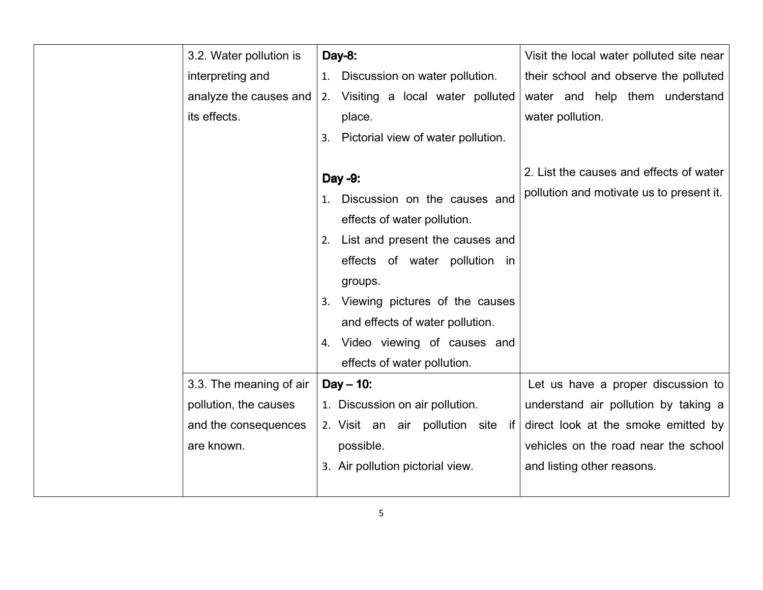| 3.2. Water pollution is | Day-8:                                                                                                                                                                                                                                                                                               | Visit the local water polluted site near                                            |
|-------------------------|------------------------------------------------------------------------------------------------------------------------------------------------------------------------------------------------------------------------------------------------------------------------------------------------------|-------------------------------------------------------------------------------------|
| interpreting and        | Discussion on water pollution.<br>1.                                                                                                                                                                                                                                                                 | their school and observe the polluted                                               |
| analyze the causes and  | 2. Visiting a local water polluted                                                                                                                                                                                                                                                                   | water and help them understand                                                      |
| its effects.            | place.                                                                                                                                                                                                                                                                                               | water pollution.                                                                    |
|                         | 3. Pictorial view of water pollution.                                                                                                                                                                                                                                                                |                                                                                     |
|                         | Day -9:<br>Discussion on the causes and<br>effects of water pollution.<br>List and present the causes and<br>2.<br>effects of water pollution in<br>groups.<br>3. Viewing pictures of the causes<br>and effects of water pollution.<br>4. Video viewing of causes and<br>effects of water pollution. | 2. List the causes and effects of water<br>pollution and motivate us to present it. |
| 3.3. The meaning of air | $Day - 10$ :                                                                                                                                                                                                                                                                                         | Let us have a proper discussion to                                                  |
| pollution, the causes   | 1. Discussion on air pollution.                                                                                                                                                                                                                                                                      | understand air pollution by taking a                                                |
| and the consequences    | 2. Visit an air pollution site if                                                                                                                                                                                                                                                                    | direct look at the smoke emitted by                                                 |
| are known.              | possible.                                                                                                                                                                                                                                                                                            | vehicles on the road near the school                                                |
|                         | 3. Air pollution pictorial view.                                                                                                                                                                                                                                                                     | and listing other reasons.                                                          |
|                         |                                                                                                                                                                                                                                                                                                      |                                                                                     |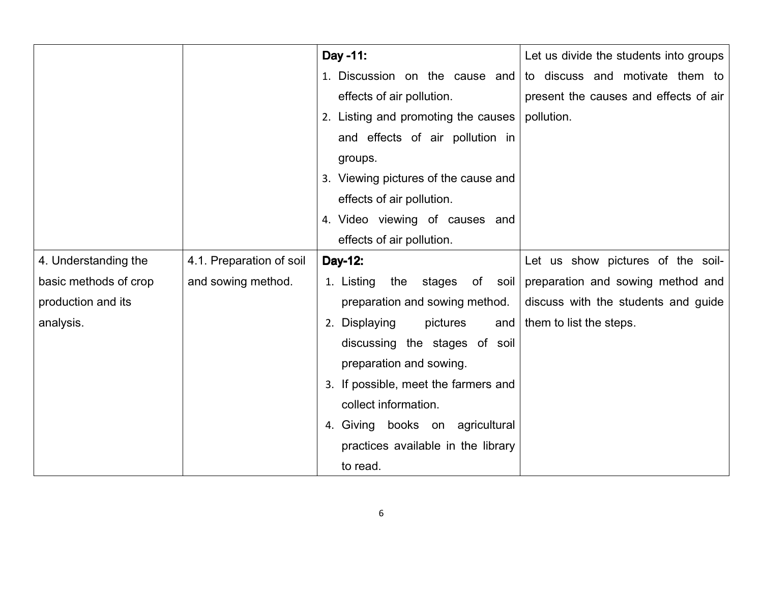|                       |                          | Day -11:                               | Let us divide the students into groups |
|-----------------------|--------------------------|----------------------------------------|----------------------------------------|
|                       |                          | 1. Discussion on the cause and         | to discuss and motivate them to        |
|                       |                          | effects of air pollution.              | present the causes and effects of air  |
|                       |                          | 2. Listing and promoting the causes    | pollution.                             |
|                       |                          | and effects of air pollution in        |                                        |
|                       |                          | groups.                                |                                        |
|                       |                          | 3. Viewing pictures of the cause and   |                                        |
|                       |                          | effects of air pollution.              |                                        |
|                       |                          | 4. Video viewing of causes and         |                                        |
|                       |                          | effects of air pollution.              |                                        |
| 4. Understanding the  | 4.1. Preparation of soil | Day-12:                                | Let us show pictures of the soil-      |
| basic methods of crop | and sowing method.       | 1. Listing<br>the<br>stages<br>of soil | preparation and sowing method and      |
| production and its    |                          | preparation and sowing method.         | discuss with the students and guide    |
| analysis.             |                          | 2. Displaying<br>pictures<br>and       | them to list the steps.                |
|                       |                          | discussing the stages of soil          |                                        |
|                       |                          | preparation and sowing.                |                                        |
|                       |                          | 3. If possible, meet the farmers and   |                                        |
|                       |                          | collect information.                   |                                        |
|                       |                          | 4. Giving books on agricultural        |                                        |
|                       |                          | practices available in the library     |                                        |
|                       |                          | to read.                               |                                        |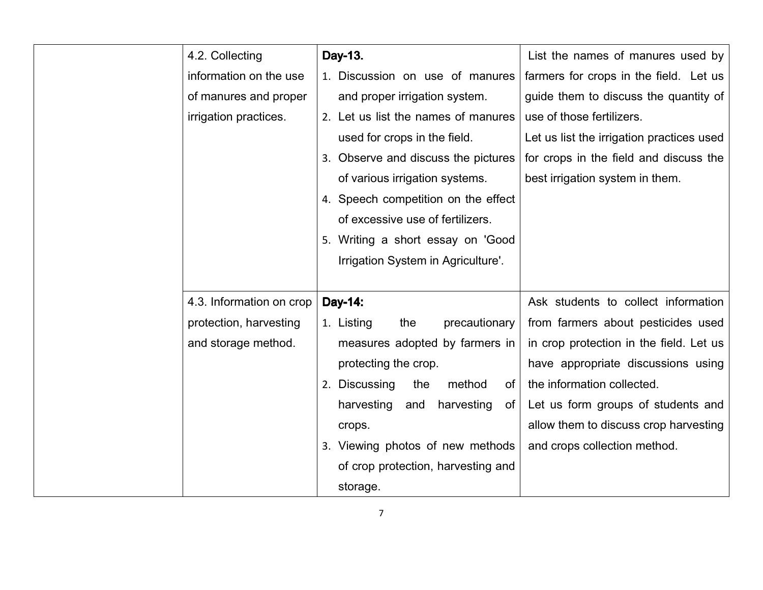| 4.2. Collecting          | Day-13.                               | List the names of manures used by         |
|--------------------------|---------------------------------------|-------------------------------------------|
| information on the use   | 1. Discussion on use of manures       | farmers for crops in the field. Let us    |
| of manures and proper    | and proper irrigation system.         | guide them to discuss the quantity of     |
| irrigation practices.    | 2. Let us list the names of manures   | use of those fertilizers.                 |
|                          | used for crops in the field.          | Let us list the irrigation practices used |
|                          | 3. Observe and discuss the pictures   | for crops in the field and discuss the    |
|                          | of various irrigation systems.        | best irrigation system in them.           |
|                          | 4. Speech competition on the effect   |                                           |
|                          | of excessive use of fertilizers.      |                                           |
|                          | 5. Writing a short essay on 'Good     |                                           |
|                          | Irrigation System in Agriculture'.    |                                           |
|                          |                                       |                                           |
| 4.3. Information on crop | Day-14:                               | Ask students to collect information       |
| protection, harvesting   | 1. Listing<br>the<br>precautionary    | from farmers about pesticides used        |
| and storage method.      | measures adopted by farmers in        | in crop protection in the field. Let us   |
|                          | protecting the crop.                  | have appropriate discussions using        |
|                          | 2. Discussing<br>the<br>method<br>of  | the information collected.                |
|                          | harvesting<br>harvesting<br>and<br>of | Let us form groups of students and        |
|                          | crops.                                | allow them to discuss crop harvesting     |
|                          | 3. Viewing photos of new methods      | and crops collection method.              |
|                          | of crop protection, harvesting and    |                                           |
|                          | storage.                              |                                           |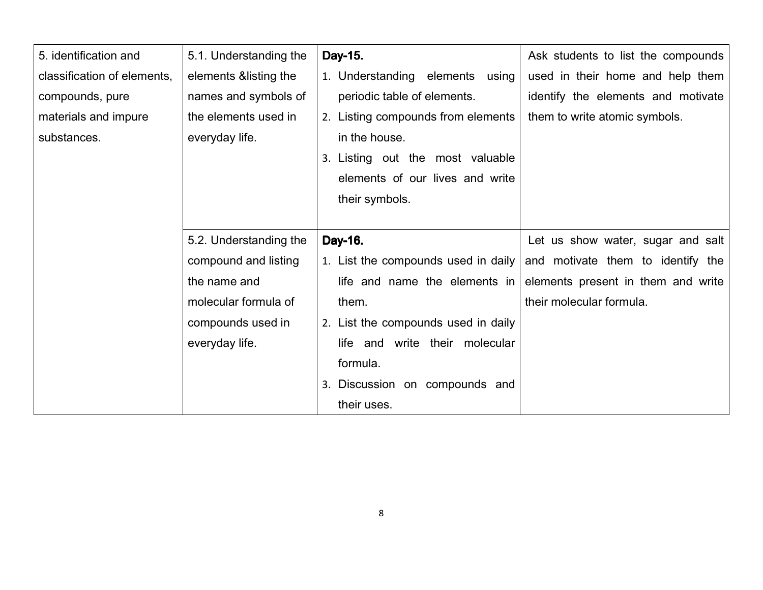| 5. identification and       | 5.1. Understanding the | Day-15.                             | Ask students to list the compounds |
|-----------------------------|------------------------|-------------------------------------|------------------------------------|
| classification of elements, | elements & listing the | 1. Understanding elements using     | used in their home and help them   |
| compounds, pure             | names and symbols of   | periodic table of elements.         | identify the elements and motivate |
| materials and impure        | the elements used in   | 2. Listing compounds from elements  | them to write atomic symbols.      |
| substances.                 | everyday life.         | in the house.                       |                                    |
|                             |                        | 3. Listing out the most valuable    |                                    |
|                             |                        | elements of our lives and write     |                                    |
|                             |                        | their symbols.                      |                                    |
|                             |                        |                                     |                                    |
|                             |                        |                                     |                                    |
|                             | 5.2. Understanding the | Day-16.                             | Let us show water, sugar and salt  |
|                             | compound and listing   | 1. List the compounds used in daily | and motivate them to identify the  |
|                             | the name and           | life and name the elements in       | elements present in them and write |
|                             | molecular formula of   | them.                               | their molecular formula.           |
|                             | compounds used in      | 2. List the compounds used in daily |                                    |
|                             | everyday life.         | life and write their molecular      |                                    |
|                             |                        | formula.                            |                                    |
|                             |                        | Discussion on compounds and<br>3.   |                                    |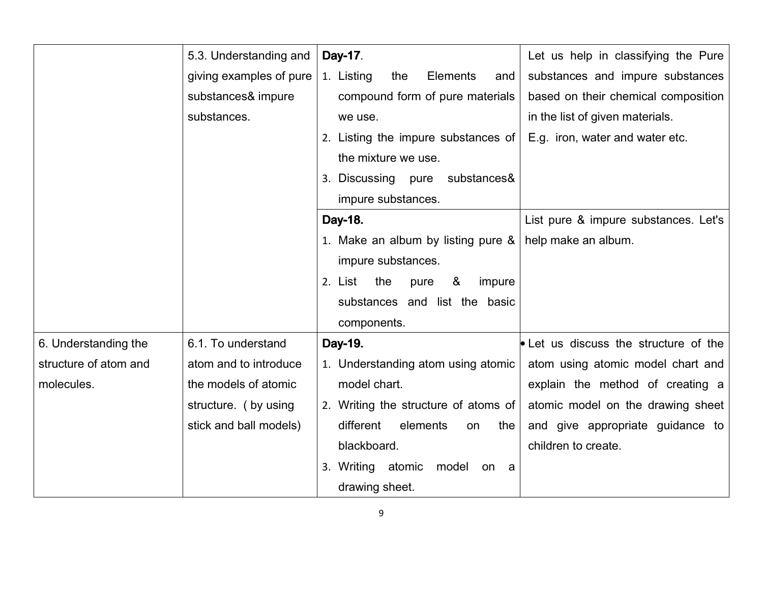|                       | 5.3. Understanding and  | Day-17.                               | Let us help in classifying the Pure   |
|-----------------------|-------------------------|---------------------------------------|---------------------------------------|
|                       | giving examples of pure | 1. Listing<br>Elements<br>the<br>and  | substances and impure substances      |
|                       | substances& impure      | compound form of pure materials       | based on their chemical composition   |
|                       | substances.             | we use.                               | in the list of given materials.       |
|                       |                         | 2. Listing the impure substances of   | E.g. iron, water and water etc.       |
|                       |                         | the mixture we use.                   |                                       |
|                       |                         | 3. Discussing pure<br>substances&     |                                       |
|                       |                         | impure substances.                    |                                       |
|                       |                         | Day-18.                               | List pure & impure substances. Let's  |
|                       |                         | 1. Make an album by listing pure &    | help make an album.                   |
|                       |                         | impure substances.                    |                                       |
|                       |                         | 2. List<br>the<br>&<br>pure<br>impure |                                       |
|                       |                         | substances and list the basic         |                                       |
|                       |                         | components.                           |                                       |
| 6. Understanding the  | 6.1. To understand      | Day-19.                               | • Let us discuss the structure of the |
| structure of atom and | atom and to introduce   | 1. Understanding atom using atomic    | atom using atomic model chart and     |
| molecules.            | the models of atomic    | model chart.                          | explain the method of creating a      |
|                       | structure. (by using    | 2. Writing the structure of atoms of  | atomic model on the drawing sheet     |
|                       | stick and ball models)  | different<br>elements<br>the<br>on    | and give appropriate guidance to      |
|                       |                         | blackboard.                           | children to create.                   |
|                       |                         | 3. Writing atomic<br>model<br>on a    |                                       |
|                       |                         | drawing sheet.                        |                                       |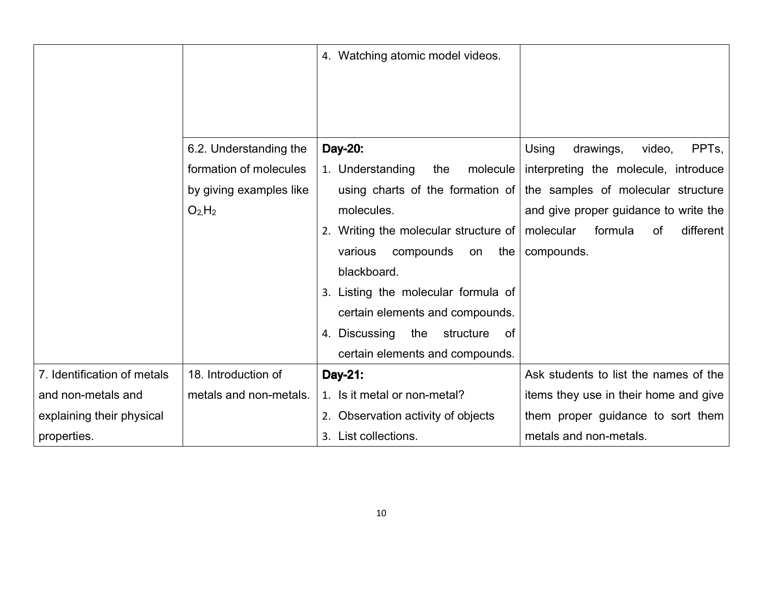|                             |                               | 4. Watching atomic model videos.                 |                                                                     |
|-----------------------------|-------------------------------|--------------------------------------------------|---------------------------------------------------------------------|
|                             | 6.2. Understanding the        | Day-20:                                          | Using<br>PPT <sub>s</sub><br>drawings,<br>video,                    |
|                             | formation of molecules        | 1. Understanding<br>molecule<br>the              | interpreting the molecule, introduce                                |
|                             | by giving examples like       |                                                  | using charts of the formation of the samples of molecular structure |
|                             | O <sub>2</sub> H <sub>2</sub> | molecules.                                       | and give proper guidance to write the                               |
|                             |                               | 2. Writing the molecular structure of            | formula<br>different<br>molecular<br>of                             |
|                             |                               | compounds<br>the<br>various<br>on<br>blackboard. | compounds.                                                          |
|                             |                               | 3. Listing the molecular formula of              |                                                                     |
|                             |                               | certain elements and compounds.                  |                                                                     |
|                             |                               | 4. Discussing<br>the<br>structure<br>0f          |                                                                     |
|                             |                               | certain elements and compounds.                  |                                                                     |
| 7. Identification of metals | 18. Introduction of           | Day-21:                                          | Ask students to list the names of the                               |
| and non-metals and          | metals and non-metals.        | 1. Is it metal or non-metal?                     | items they use in their home and give                               |
| explaining their physical   |                               | 2. Observation activity of objects               | them proper guidance to sort them                                   |
| properties.                 |                               | 3. List collections.                             | metals and non-metals.                                              |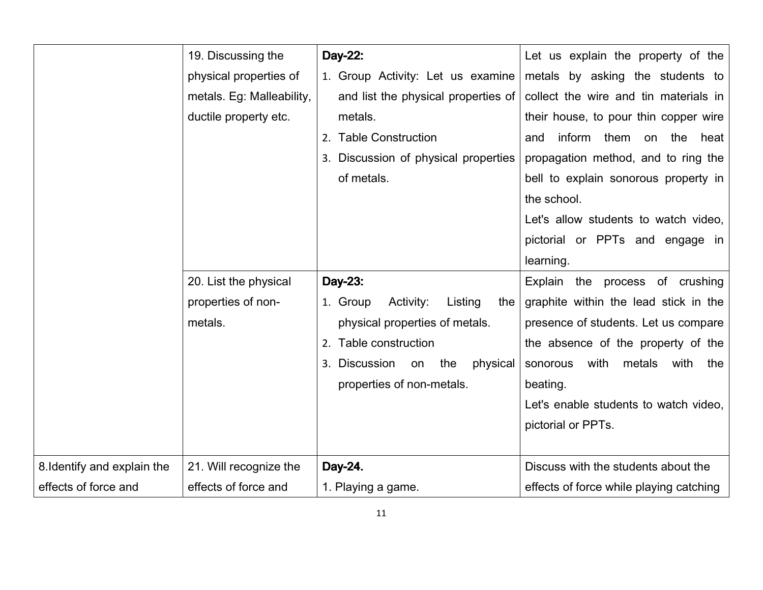|                             | 19. Discussing the        | Day-22:                                 | Let us explain the property of the        |
|-----------------------------|---------------------------|-----------------------------------------|-------------------------------------------|
|                             | physical properties of    | 1. Group Activity: Let us examine       | metals by asking the students to          |
|                             | metals. Eg: Malleability, | and list the physical properties of     | collect the wire and tin materials in     |
|                             | ductile property etc.     | metals.                                 | their house, to pour thin copper wire     |
|                             |                           | 2. Table Construction                   | inform them on<br>the<br>heat<br>and      |
|                             |                           | 3. Discussion of physical properties    | propagation method, and to ring the       |
|                             |                           | of metals.                              | bell to explain sonorous property in      |
|                             |                           |                                         | the school.                               |
|                             |                           |                                         | Let's allow students to watch video,      |
|                             |                           |                                         | pictorial or PPTs and engage in           |
|                             |                           |                                         | learning.                                 |
|                             | 20. List the physical     | Day-23:                                 | Explain the process of crushing           |
|                             | properties of non-        | 1. Group<br>Listing<br>Activity:<br>the | graphite within the lead stick in the     |
|                             | metals.                   | physical properties of metals.          | presence of students. Let us compare      |
|                             |                           | 2. Table construction                   | the absence of the property of the        |
|                             |                           | 3. Discussion<br>the<br>physical<br>on  | with<br>metals<br>with<br>sonorous<br>the |
|                             |                           | properties of non-metals.               | beating.                                  |
|                             |                           |                                         | Let's enable students to watch video,     |
|                             |                           |                                         | pictorial or PPTs.                        |
|                             |                           |                                         |                                           |
| 8. Identify and explain the | 21. Will recognize the    | Day-24.                                 | Discuss with the students about the       |
| effects of force and        | effects of force and      | 1. Playing a game.                      | effects of force while playing catching   |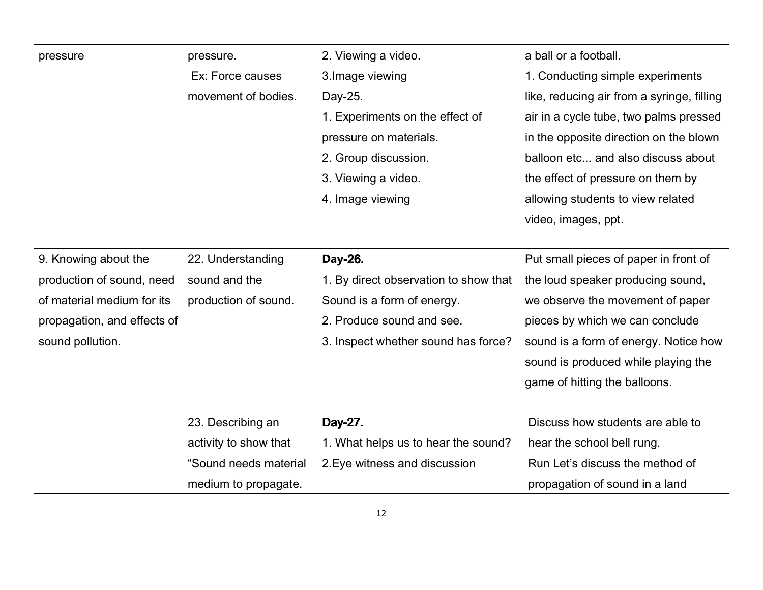| pressure                    | pressure.             | 2. Viewing a video.                   | a ball or a football.                      |
|-----------------------------|-----------------------|---------------------------------------|--------------------------------------------|
|                             | Ex: Force causes      | 3. Image viewing                      | 1. Conducting simple experiments           |
|                             | movement of bodies.   | Day-25.                               | like, reducing air from a syringe, filling |
|                             |                       | 1. Experiments on the effect of       | air in a cycle tube, two palms pressed     |
|                             |                       | pressure on materials.                | in the opposite direction on the blown     |
|                             |                       | 2. Group discussion.                  | balloon etc and also discuss about         |
|                             |                       | 3. Viewing a video.                   | the effect of pressure on them by          |
|                             |                       | 4. Image viewing                      | allowing students to view related          |
|                             |                       |                                       | video, images, ppt.                        |
|                             |                       |                                       |                                            |
| 9. Knowing about the        | 22. Understanding     | Day-26.                               | Put small pieces of paper in front of      |
| production of sound, need   | sound and the         | 1. By direct observation to show that | the loud speaker producing sound,          |
| of material medium for its  | production of sound.  | Sound is a form of energy.            | we observe the movement of paper           |
| propagation, and effects of |                       | 2. Produce sound and see.             | pieces by which we can conclude            |
| sound pollution.            |                       | 3. Inspect whether sound has force?   | sound is a form of energy. Notice how      |
|                             |                       |                                       | sound is produced while playing the        |
|                             |                       |                                       | game of hitting the balloons.              |
|                             |                       |                                       |                                            |
|                             | 23. Describing an     | Day-27.                               | Discuss how students are able to           |
|                             | activity to show that | 1. What helps us to hear the sound?   | hear the school bell rung.                 |
|                             | "Sound needs material | 2. Eye witness and discussion         | Run Let's discuss the method of            |
|                             | medium to propagate.  |                                       | propagation of sound in a land             |